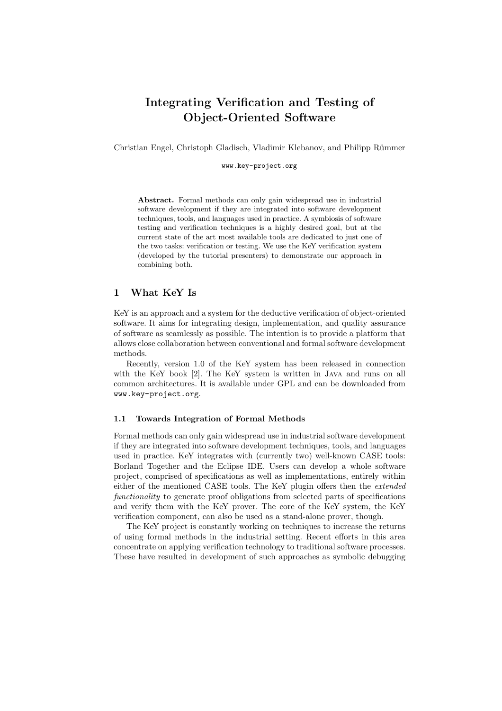# Integrating Verification and Testing of Object-Oriented Software

Christian Engel, Christoph Gladisch, Vladimir Klebanov, and Philipp Rümmer

www.key-project.org

Abstract. Formal methods can only gain widespread use in industrial software development if they are integrated into software development techniques, tools, and languages used in practice. A symbiosis of software testing and verification techniques is a highly desired goal, but at the current state of the art most available tools are dedicated to just one of the two tasks: verification or testing. We use the KeY verification system (developed by the tutorial presenters) to demonstrate our approach in combining both.

## 1 What KeY Is

KeY is an approach and a system for the deductive verification of object-oriented software. It aims for integrating design, implementation, and quality assurance of software as seamlessly as possible. The intention is to provide a platform that allows close collaboration between conventional and formal software development methods.

Recently, version 1.0 of the KeY system has been released in connection with the KeY book [2]. The KeY system is written in JAVA and runs on all common architectures. It is available under GPL and can be downloaded from www.key-project.org.

#### 1.1 Towards Integration of Formal Methods

Formal methods can only gain widespread use in industrial software development if they are integrated into software development techniques, tools, and languages used in practice. KeY integrates with (currently two) well-known CASE tools: Borland Together and the Eclipse IDE. Users can develop a whole software project, comprised of specifications as well as implementations, entirely within either of the mentioned CASE tools. The KeY plugin offers then the extended functionality to generate proof obligations from selected parts of specifications and verify them with the KeY prover. The core of the KeY system, the KeY verification component, can also be used as a stand-alone prover, though.

The KeY project is constantly working on techniques to increase the returns of using formal methods in the industrial setting. Recent efforts in this area concentrate on applying verification technology to traditional software processes. These have resulted in development of such approaches as symbolic debugging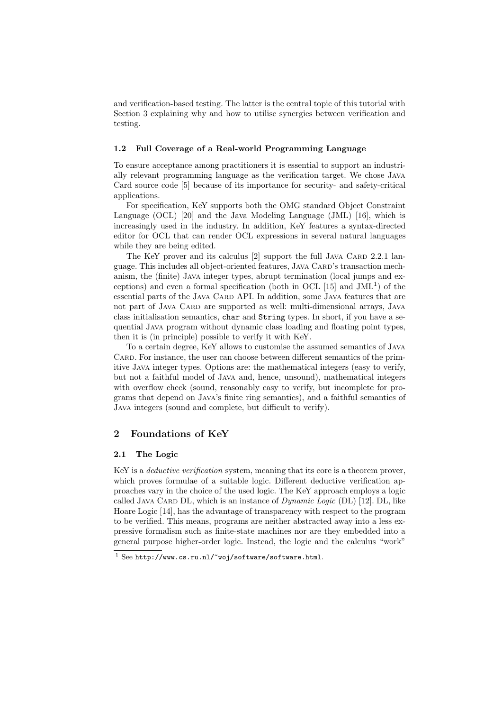and verification-based testing. The latter is the central topic of this tutorial with Section 3 explaining why and how to utilise synergies between verification and testing.

#### 1.2 Full Coverage of a Real-world Programming Language

To ensure acceptance among practitioners it is essential to support an industrially relevant programming language as the verification target. We chose JAVA Card source code [5] because of its importance for security- and safety-critical applications.

For specification, KeY supports both the OMG standard Object Constraint Language (OCL) [20] and the Java Modeling Language (JML) [16], which is increasingly used in the industry. In addition, KeY features a syntax-directed editor for OCL that can render OCL expressions in several natural languages while they are being edited.

The KeY prover and its calculus [2] support the full JAVA CARD 2.2.1 language. This includes all object-oriented features, JAVA CARD's transaction mechanism, the (finite) JAVA integer types, abrupt termination (local jumps and exceptions) and even a formal specification (both in OCL  $[15]$  and  $JML<sup>1</sup>$ ) of the essential parts of the JAVA CARD API. In addition, some JAVA features that are not part of JAVA CARD are supported as well: multi-dimensional arrays, JAVA class initialisation semantics, char and String types. In short, if you have a sequential JAVA program without dynamic class loading and floating point types, then it is (in principle) possible to verify it with KeY.

To a certain degree, KeY allows to customise the assumed semantics of JAVA CARD. For instance, the user can choose between different semantics of the primitive JAVA integer types. Options are: the mathematical integers (easy to verify, but not a faithful model of JAVA and, hence, unsound), mathematical integers with overflow check (sound, reasonably easy to verify, but incomplete for programs that depend on JAVA's finite ring semantics), and a faithful semantics of JAVA integers (sound and complete, but difficult to verify).

### 2 Foundations of KeY

#### 2.1 The Logic

KeY is a *deductive verification* system, meaning that its core is a theorem prover, which proves formulae of a suitable logic. Different deductive verification approaches vary in the choice of the used logic. The KeY approach employs a logic called JAVA CARD DL, which is an instance of *Dynamic Logic* (DL) [12]. DL, like Hoare Logic [14], has the advantage of transparency with respect to the program to be verified. This means, programs are neither abstracted away into a less expressive formalism such as finite-state machines nor are they embedded into a general purpose higher-order logic. Instead, the logic and the calculus "work"

 $\frac{1}{1}$  See http://www.cs.ru.nl/~woj/software/software.html.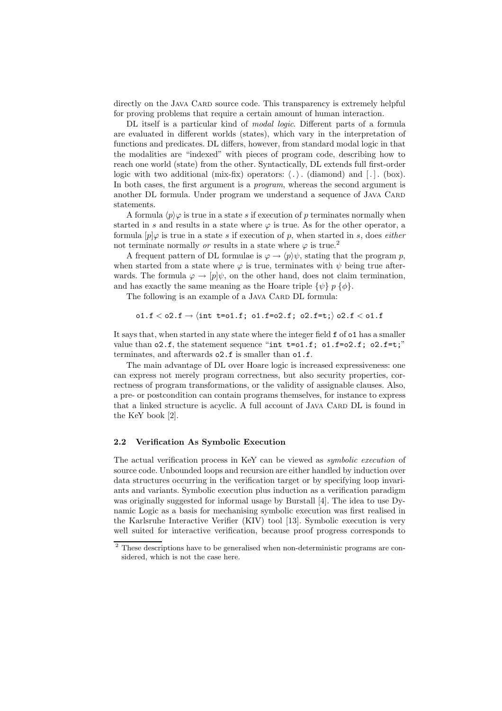directly on the JAVA CARD source code. This transparency is extremely helpful for proving problems that require a certain amount of human interaction.

DL itself is a particular kind of modal logic. Different parts of a formula are evaluated in different worlds (states), which vary in the interpretation of functions and predicates. DL differs, however, from standard modal logic in that the modalities are "indexed" with pieces of program code, describing how to reach one world (state) from the other. Syntactically, DL extends full first-order logic with two additional (mix-fix) operators:  $\langle . \rangle$ . (diamond) and  $[ . ]$ . (box). In both cases, the first argument is a *program*, whereas the second argument is another DL formula. Under program we understand a sequence of JAVA CARD statements.

A formula  $\langle p \rangle \varphi$  is true in a state s if execution of p terminates normally when started in s and results in a state where  $\varphi$  is true. As for the other operator, a formula  $[p]\varphi$  is true in a state s if execution of p, when started in s, does *either* not terminate normally *or* results in a state where  $\varphi$  is true.<sup>2</sup>

A frequent pattern of DL formulae is  $\varphi \to \langle p \rangle \psi$ , stating that the program p, when started from a state where  $\varphi$  is true, terminates with  $\psi$  being true afterwards. The formula  $\varphi \to [p]\psi$ , on the other hand, does not claim termination, and has exactly the same meaning as the Hoare triple  $\{\psi\}\ p\ \{\phi\}.$ 

The following is an example of a JAVA CARD DL formula:

$$
\texttt{ol.f} < \texttt{o2.f} \rightarrow \langle \texttt{int t=ol.f; ol.f=o2.f; o2.f=t} \rangle \texttt{o2.f} < \texttt{ol.f}
$$

It says that, when started in any state where the integer field f of o1 has a smaller value than  $o2.f$ , the statement sequence "int  $t=01.f$ ;  $o1.f=02.f$ ;  $o2.f=t$ ;" terminates, and afterwards o2.f is smaller than o1.f.

The main advantage of DL over Hoare logic is increased expressiveness: one can express not merely program correctness, but also security properties, correctness of program transformations, or the validity of assignable clauses. Also, a pre- or postcondition can contain programs themselves, for instance to express that a linked structure is acyclic. A full account of JAVA CARD DL is found in the KeY book [2].

#### 2.2 Verification As Symbolic Execution

The actual verification process in KeY can be viewed as symbolic execution of source code. Unbounded loops and recursion are either handled by induction over data structures occurring in the verification target or by specifying loop invariants and variants. Symbolic execution plus induction as a verification paradigm was originally suggested for informal usage by Burstall [4]. The idea to use Dynamic Logic as a basis for mechanising symbolic execution was first realised in the Karlsruhe Interactive Verifier (KIV) tool [13]. Symbolic execution is very well suited for interactive verification, because proof progress corresponds to

<sup>2</sup> These descriptions have to be generalised when non-deterministic programs are considered, which is not the case here.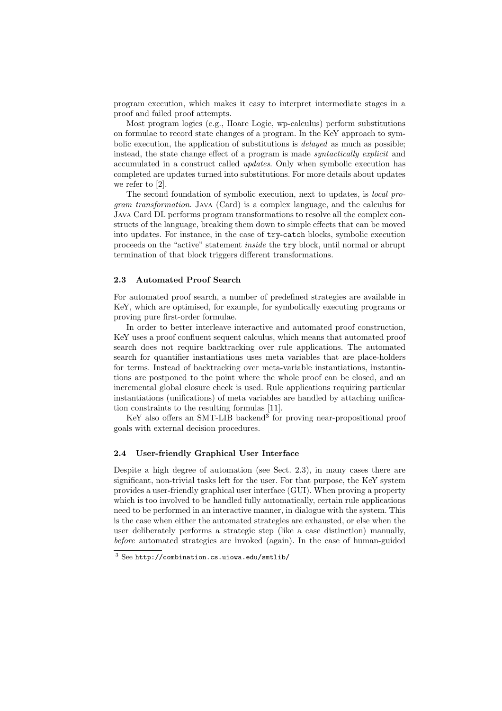program execution, which makes it easy to interpret intermediate stages in a proof and failed proof attempts.

Most program logics (e.g., Hoare Logic, wp-calculus) perform substitutions on formulae to record state changes of a program. In the KeY approach to symbolic execution, the application of substitutions is *delayed* as much as possible; instead, the state change effect of a program is made syntactically explicit and accumulated in a construct called updates. Only when symbolic execution has completed are updates turned into substitutions. For more details about updates we refer to [2].

The second foundation of symbolic execution, next to updates, is *local pro*gram transformation. JAVA (Card) is a complex language, and the calculus for JAVA Card DL performs program transformations to resolve all the complex constructs of the language, breaking them down to simple effects that can be moved into updates. For instance, in the case of try-catch blocks, symbolic execution proceeds on the "active" statement inside the try block, until normal or abrupt termination of that block triggers different transformations.

#### 2.3 Automated Proof Search

For automated proof search, a number of predefined strategies are available in KeY, which are optimised, for example, for symbolically executing programs or proving pure first-order formulae.

In order to better interleave interactive and automated proof construction, KeY uses a proof confluent sequent calculus, which means that automated proof search does not require backtracking over rule applications. The automated search for quantifier instantiations uses meta variables that are place-holders for terms. Instead of backtracking over meta-variable instantiations, instantiations are postponed to the point where the whole proof can be closed, and an incremental global closure check is used. Rule applications requiring particular instantiations (unifications) of meta variables are handled by attaching unification constraints to the resulting formulas [11].

KeY also offers an SMT-LIB backend<sup>3</sup> for proving near-propositional proof goals with external decision procedures.

#### 2.4 User-friendly Graphical User Interface

Despite a high degree of automation (see Sect. 2.3), in many cases there are significant, non-trivial tasks left for the user. For that purpose, the KeY system provides a user-friendly graphical user interface (GUI). When proving a property which is too involved to be handled fully automatically, certain rule applications need to be performed in an interactive manner, in dialogue with the system. This is the case when either the automated strategies are exhausted, or else when the user deliberately performs a strategic step (like a case distinction) manually, before automated strategies are invoked (again). In the case of human-guided

 $\overline{3}$  See http://combination.cs.uiowa.edu/smtlib/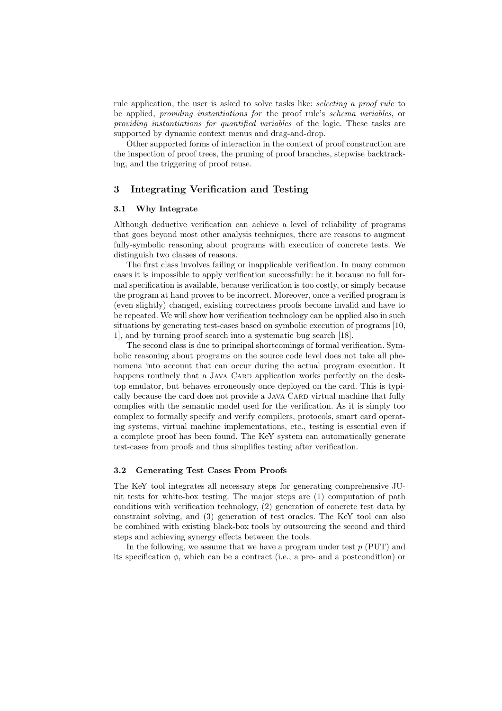rule application, the user is asked to solve tasks like: selecting a proof rule to be applied, providing instantiations for the proof rule's schema variables, or providing instantiations for quantified variables of the logic. These tasks are supported by dynamic context menus and drag-and-drop.

Other supported forms of interaction in the context of proof construction are the inspection of proof trees, the pruning of proof branches, stepwise backtracking, and the triggering of proof reuse.

### 3 Integrating Verification and Testing

#### 3.1 Why Integrate

Although deductive verification can achieve a level of reliability of programs that goes beyond most other analysis techniques, there are reasons to augment fully-symbolic reasoning about programs with execution of concrete tests. We distinguish two classes of reasons.

The first class involves failing or inapplicable verification. In many common cases it is impossible to apply verification successfully: be it because no full formal specification is available, because verification is too costly, or simply because the program at hand proves to be incorrect. Moreover, once a verified program is (even slightly) changed, existing correctness proofs become invalid and have to be repeated. We will show how verification technology can be applied also in such situations by generating test-cases based on symbolic execution of programs [10, 1], and by turning proof search into a systematic bug search [18].

The second class is due to principal shortcomings of formal verification. Symbolic reasoning about programs on the source code level does not take all phenomena into account that can occur during the actual program execution. It happens routinely that a JAVA CARD application works perfectly on the desktop emulator, but behaves erroneously once deployed on the card. This is typically because the card does not provide a JAVA CARD virtual machine that fully complies with the semantic model used for the verification. As it is simply too complex to formally specify and verify compilers, protocols, smart card operating systems, virtual machine implementations, etc., testing is essential even if a complete proof has been found. The KeY system can automatically generate test-cases from proofs and thus simplifies testing after verification.

### 3.2 Generating Test Cases From Proofs

The KeY tool integrates all necessary steps for generating comprehensive JUnit tests for white-box testing. The major steps are (1) computation of path conditions with verification technology, (2) generation of concrete test data by constraint solving, and (3) generation of test oracles. The KeY tool can also be combined with existing black-box tools by outsourcing the second and third steps and achieving synergy effects between the tools.

In the following, we assume that we have a program under test  $p$  (PUT) and its specification  $\phi$ , which can be a contract (i.e., a pre- and a postcondition) or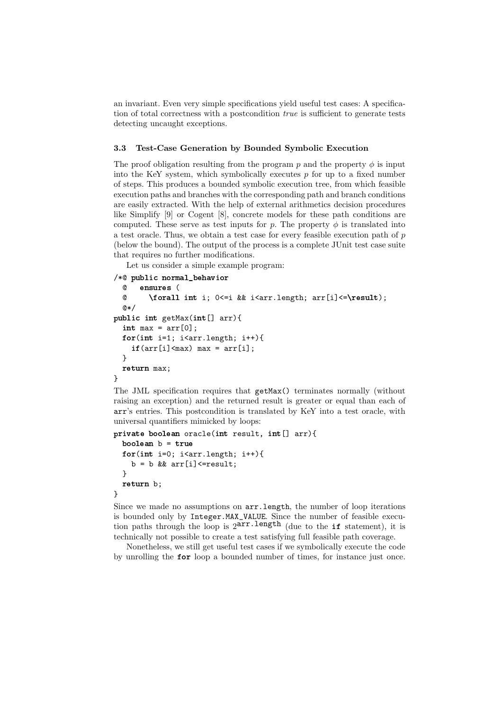an invariant. Even very simple specifications yield useful test cases: A specification of total correctness with a postcondition true is sufficient to generate tests detecting uncaught exceptions.

### 3.3 Test-Case Generation by Bounded Symbolic Execution

The proof obligation resulting from the program  $p$  and the property  $\phi$  is input into the KeY system, which symbolically executes  $p$  for up to a fixed number of steps. This produces a bounded symbolic execution tree, from which feasible execution paths and branches with the corresponding path and branch conditions are easily extracted. With the help of external arithmetics decision procedures like Simplify [9] or Cogent [8], concrete models for these path conditions are computed. These serve as test inputs for p. The property  $\phi$  is translated into a test oracle. Thus, we obtain a test case for every feasible execution path of p (below the bound). The output of the process is a complete JUnit test case suite that requires no further modifications.

Let us consider a simple example program:

```
/*@ publi
 normal_behavior
```

```
@ ensures (
  @ \forall int i; 0<=i && i<arr.length; arr[i]<=\result);
  @*/
publi
 int getMax(int[] arr){
  int max = arr[0];
  for(int i=1; i<arr.length; i++){
    if(arr[i] < max) max = arr[i];
  }
 return max;
}
```
The JML specification requires that getMax() terminates normally (without raising an exception) and the returned result is greater or equal than each of arr's entries. This postcondition is translated by KeY into a test oracle, with universal quantifiers mimicked by loops:

```
private boolean oracle(int result, int[] arr){
 boolean b = truefor(int i=0; i<arr.length; i++){
    b = b && arr[i] \leq -result;}
 return b;
}
```
Since we made no assumptions on arr.length, the number of loop iterations is bounded only by Integer.MAX\_VALUE. Since the number of feasible execution paths through the loop is  $2<sup>arr.length</sup>$  (due to the **if** statement), it is technically not possible to create a test satisfying full feasible path coverage.

Nonetheless, we still get useful test cases if we symbolically execute the code by unrolling the for loop a bounded number of times, for instance just once.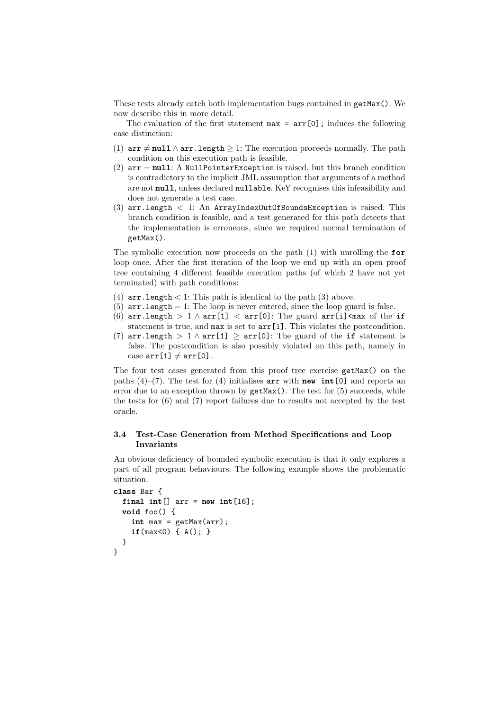These tests already catch both implementation bugs contained in getMax(). We now describe this in more detail.

The evaluation of the first statement  $max = arr[0]$ ; induces the following case distinction:

- (1)  $arr \neq null \land arr.length \geq 1$ : The execution proceeds normally. The path condition on this execution path is feasible.
- (2)  $arr = null$ : A NullPointerException is raised, but this branch condition is contradictory to the implicit JML assumption that arguments of a method are not null, unless declared nullable. KeY recognises this infeasibility and does not generate a test case.
- (3)  $arr.length < 1$ : An ArrayIndexOutOfBoundsException is raised. This branch condition is feasible, and a test generated for this path detects that the implementation is erroneous, since we required normal termination of getMax().

The symbolic execution now proceeds on the path  $(1)$  with unrolling the for loop once. After the first iteration of the loop we end up with an open proof tree containing 4 different feasible execution paths (of which 2 have not yet terminated) with path conditions:

- (4)  $arr.length < 1$ : This path is identical to the path (3) above.
- (5)  $arr.length = 1$ : The loop is never entered, since the loop guard is false.
- (6) arr.length >  $1 \wedge arr[1] < arr[0]$ : The guard  $arr[i] < max$  of the if statement is true, and max is set to arr[1]. This violates the postcondition.
- (7) arr.length >  $1 \wedge arr[1] \ge arr[0]$ : The guard of the if statement is false. The postcondition is also possibly violated on this path, namely in case  $arr[1] \neq arr[0]$ .

The four test cases generated from this proof tree exercise getMax() on the paths  $(4)-(7)$ . The test for  $(4)$  initialises arr with new interval and reports an error due to an exception thrown by getMax(). The test for (5) succeeds, while the tests for (6) and (7) report failures due to results not accepted by the test oracle.

### 3.4 Test-Case Generation from Method Specifications and Loop Invariants

An obvious deficiency of bounded symbolic execution is that it only explores a part of all program behaviours. The following example shows the problematic situation.

```

lass Bar {
 final int[] arr = new int[16];
  void foo() {
    int max = getMax(arr);
    if(max<0) { A() : }}
}
```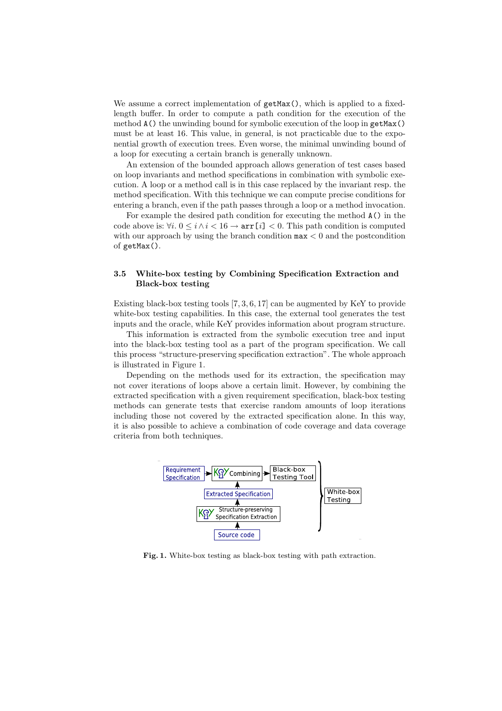We assume a correct implementation of  $getMax()$ , which is applied to a fixedlength buffer. In order to compute a path condition for the execution of the method A() the unwinding bound for symbolic execution of the loop in getMax() must be at least 16. This value, in general, is not practicable due to the exponential growth of execution trees. Even worse, the minimal unwinding bound of a loop for executing a certain branch is generally unknown.

An extension of the bounded approach allows generation of test cases based on loop invariants and method specifications in combination with symbolic execution. A loop or a method call is in this case replaced by the invariant resp. the method specification. With this technique we can compute precise conditions for entering a branch, even if the path passes through a loop or a method invocation.

For example the desired path condition for executing the method A() in the code above is:  $\forall i. 0 \leq i \land i < 16 \rightarrow arr[i] < 0$ . This path condition is computed with our approach by using the branch condition  $\max$  < 0 and the postcondition of getMax().

### 3.5 White-box testing by Combining Specification Extraction and Black-box testing

Existing black-box testing tools [7, 3, 6, 17] can be augmented by KeY to provide white-box testing capabilities. In this case, the external tool generates the test inputs and the oracle, while KeY provides information about program structure.

This information is extracted from the symbolic execution tree and input into the black-box testing tool as a part of the program specification. We call this process "structure-preserving specification extraction". The whole approach is illustrated in Figure 1.

Depending on the methods used for its extraction, the specification may not cover iterations of loops above a certain limit. However, by combining the extracted specification with a given requirement specification, black-box testing methods can generate tests that exercise random amounts of loop iterations including those not covered by the extracted specification alone. In this way, it is also possible to achieve a combination of code coverage and data coverage criteria from both techniques.



Fig. 1. White-box testing as black-box testing with path extraction.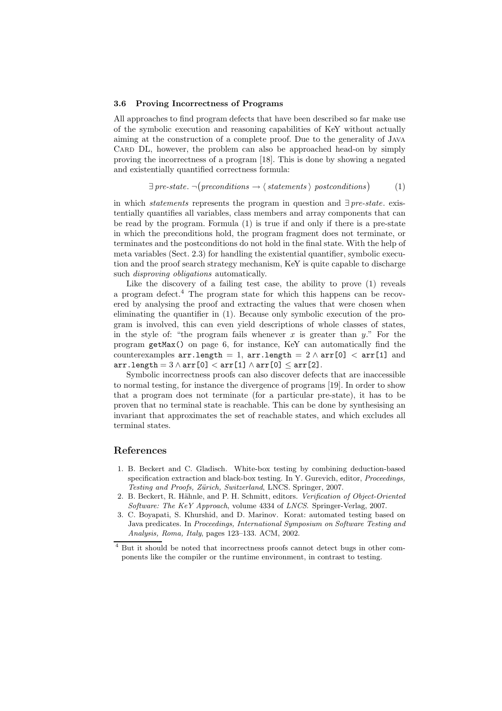#### 3.6 Proving Incorrectness of Programs

All approaches to find program defects that have been described so far make use of the symbolic execution and reasoning capabilities of KeY without actually aiming at the construction of a complete proof. Due to the generality of JAVA CARD DL, however, the problem can also be approached head-on by simply proving the incorrectness of a program [18]. This is done by showing a negated and existentially quantified correctness formula:

$$
\exists \ pre-state. \ \neg (preconditions \rightarrow \langle \ statements \rangle \ postconditions)
$$
 (1)

in which statements represents the program in question and  $\exists$  pre-state. existentially quantifies all variables, class members and array components that can be read by the program. Formula (1) is true if and only if there is a pre-state in which the preconditions hold, the program fragment does not terminate, or terminates and the postconditions do not hold in the final state. With the help of meta variables (Sect. 2.3) for handling the existential quantifier, symbolic execution and the proof search strategy mechanism, KeY is quite capable to discharge such *disproving obligations* automatically.

Like the discovery of a failing test case, the ability to prove  $(1)$  reveals a program defect.<sup>4</sup> The program state for which this happens can be recovered by analysing the proof and extracting the values that were chosen when eliminating the quantifier in (1). Because only symbolic execution of the program is involved, this can even yield descriptions of whole classes of states, in the style of: "the program fails whenever x is greater than  $y$ ." For the program getMax() on page 6, for instance, KeY can automatically find the counterexamples  $arr.length = 1$ ,  $arr.length = 2 \land arr[0] < arr[1]$  and  $arr.length = 3 \land arr[0] < arr[1] \land arr[0] < arr[2]$ .

Symbolic incorrectness proofs can also discover defects that are inaccessible to normal testing, for instance the divergence of programs [19]. In order to show that a program does not terminate (for a particular pre-state), it has to be proven that no terminal state is reachable. This can be done by synthesising an invariant that approximates the set of reachable states, and which excludes all terminal states.

### References

- 1. B. Beckert and C. Gladisch. White-box testing by combining deduction-based specification extraction and black-box testing. In Y. Gurevich, editor, *Proceedings*, Testing and Proofs, Zürich, Switzerland, LNCS. Springer, 2007.
- 2. B. Beckert, R. Hähnle, and P. H. Schmitt, editors. Verification of Object-Oriented Software: The KeY Approach, volume 4334 of LNCS. Springer-Verlag, 2007.
- 3. C. Boyapati, S. Khurshid, and D. Marinov. Korat: automated testing based on Java predicates. In Proceedings, International Symposium on Software Testing and Analysis, Roma, Italy, pages 123–133. ACM, 2002.

<sup>4</sup> But it should be noted that incorrectness proofs cannot detect bugs in other components like the compiler or the runtime environment, in contrast to testing.